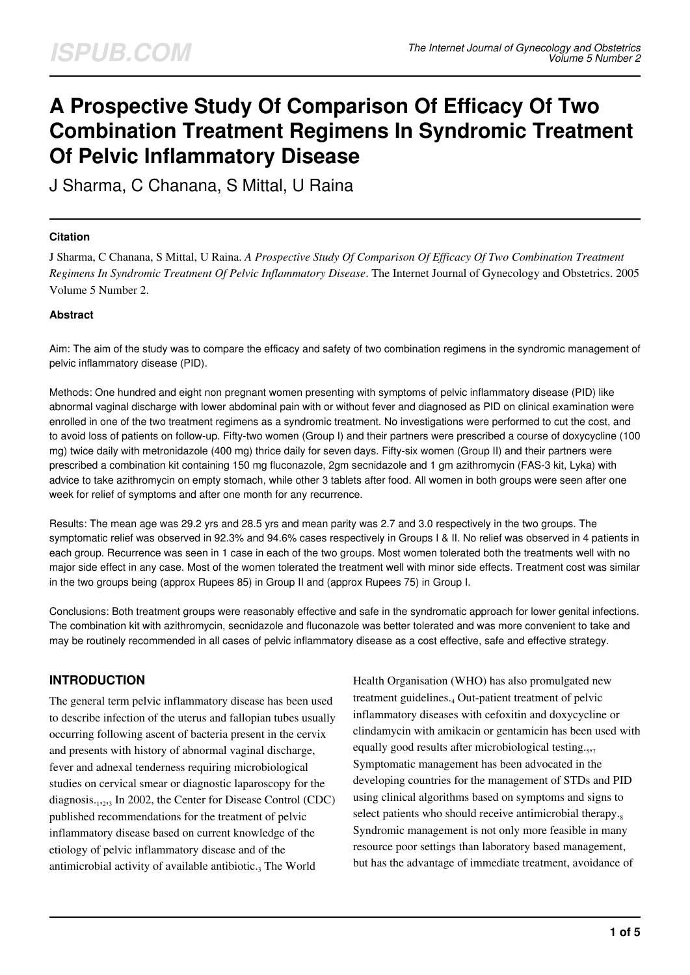# **A Prospective Study Of Comparison Of Efficacy Of Two Combination Treatment Regimens In Syndromic Treatment Of Pelvic Inflammatory Disease**

J Sharma, C Chanana, S Mittal, U Raina

### **Citation**

J Sharma, C Chanana, S Mittal, U Raina. *A Prospective Study Of Comparison Of Efficacy Of Two Combination Treatment Regimens In Syndromic Treatment Of Pelvic Inflammatory Disease*. The Internet Journal of Gynecology and Obstetrics. 2005 Volume 5 Number 2.

## **Abstract**

Aim: The aim of the study was to compare the efficacy and safety of two combination regimens in the syndromic management of pelvic inflammatory disease (PID).

Methods: One hundred and eight non pregnant women presenting with symptoms of pelvic inflammatory disease (PID) like abnormal vaginal discharge with lower abdominal pain with or without fever and diagnosed as PID on clinical examination were enrolled in one of the two treatment regimens as a syndromic treatment. No investigations were performed to cut the cost, and to avoid loss of patients on follow-up. Fifty-two women (Group I) and their partners were prescribed a course of doxycycline (100 mg) twice daily with metronidazole (400 mg) thrice daily for seven days. Fifty-six women (Group II) and their partners were prescribed a combination kit containing 150 mg fluconazole, 2gm secnidazole and 1 gm azithromycin (FAS-3 kit, Lyka) with advice to take azithromycin on empty stomach, while other 3 tablets after food. All women in both groups were seen after one week for relief of symptoms and after one month for any recurrence.

Results: The mean age was 29.2 yrs and 28.5 yrs and mean parity was 2.7 and 3.0 respectively in the two groups. The symptomatic relief was observed in 92.3% and 94.6% cases respectively in Groups I & II. No relief was observed in 4 patients in each group. Recurrence was seen in 1 case in each of the two groups. Most women tolerated both the treatments well with no major side effect in any case. Most of the women tolerated the treatment well with minor side effects. Treatment cost was similar in the two groups being (approx Rupees 85) in Group II and (approx Rupees 75) in Group I.

Conclusions: Both treatment groups were reasonably effective and safe in the syndromatic approach for lower genital infections. The combination kit with azithromycin, secnidazole and fluconazole was better tolerated and was more convenient to take and may be routinely recommended in all cases of pelvic inflammatory disease as a cost effective, safe and effective strategy.

## **INTRODUCTION**

The general term pelvic inflammatory disease has been used to describe infection of the uterus and fallopian tubes usually occurring following ascent of bacteria present in the cervix and presents with history of abnormal vaginal discharge, fever and adnexal tenderness requiring microbiological studies on cervical smear or diagnostic laparoscopy for the diagnosis.<sub>1,2,3</sub> In 2002, the Center for Disease Control (CDC) published recommendations for the treatment of pelvic inflammatory disease based on current knowledge of the etiology of pelvic inflammatory disease and of the antimicrobial activity of available antibiotic. $_3$  The World

Health Organisation (WHO) has also promulgated new treatment guidelines.<sub>4</sub> Out-patient treatment of pelvic inflammatory diseases with cefoxitin and doxycycline or clindamycin with amikacin or gentamicin has been used with equally good results after microbiological testing.<sub>5,7</sub> Symptomatic management has been advocated in the developing countries for the management of STDs and PID using clinical algorithms based on symptoms and signs to select patients who should receive antimicrobial therapy. Syndromic management is not only more feasible in many resource poor settings than laboratory based management, but has the advantage of immediate treatment, avoidance of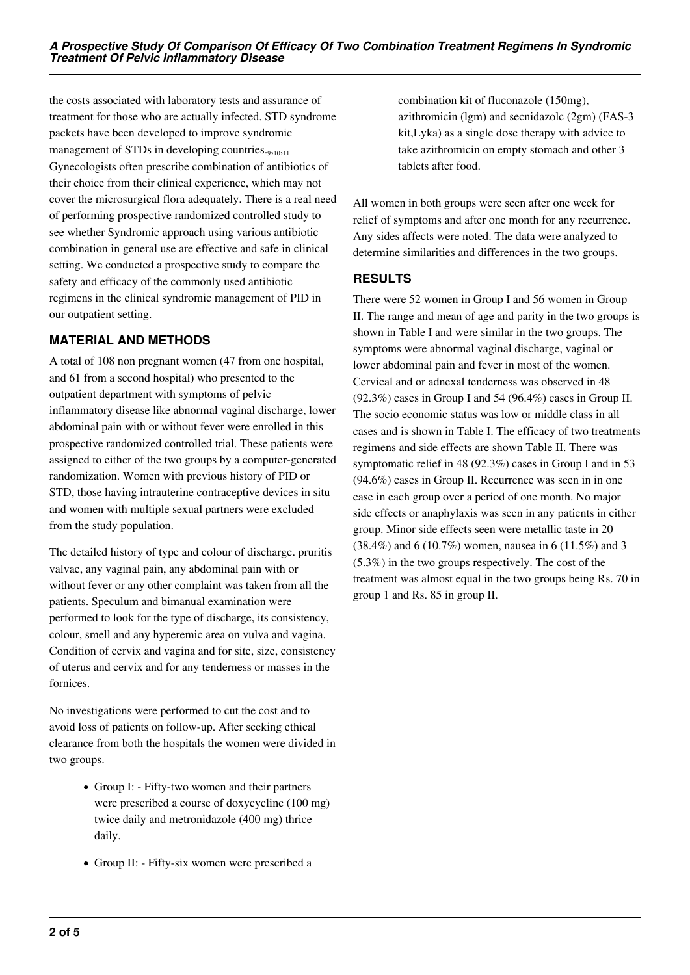the costs associated with laboratory tests and assurance of treatment for those who are actually infected. STD syndrome packets have been developed to improve syndromic management of STDs in developing countries.<sub>9,10,11</sub> Gynecologists often prescribe combination of antibiotics of their choice from their clinical experience, which may not cover the microsurgical flora adequately. There is a real need of performing prospective randomized controlled study to see whether Syndromic approach using various antibiotic combination in general use are effective and safe in clinical setting. We conducted a prospective study to compare the safety and efficacy of the commonly used antibiotic regimens in the clinical syndromic management of PID in our outpatient setting.

# **MATERIAL AND METHODS**

A total of 108 non pregnant women (47 from one hospital, and 61 from a second hospital) who presented to the outpatient department with symptoms of pelvic inflammatory disease like abnormal vaginal discharge, lower abdominal pain with or without fever were enrolled in this prospective randomized controlled trial. These patients were assigned to either of the two groups by a computer-generated randomization. Women with previous history of PID or STD, those having intrauterine contraceptive devices in situ and women with multiple sexual partners were excluded from the study population.

The detailed history of type and colour of discharge. pruritis valvae, any vaginal pain, any abdominal pain with or without fever or any other complaint was taken from all the patients. Speculum and bimanual examination were performed to look for the type of discharge, its consistency, colour, smell and any hyperemic area on vulva and vagina. Condition of cervix and vagina and for site, size, consistency of uterus and cervix and for any tenderness or masses in the fornices.

No investigations were performed to cut the cost and to avoid loss of patients on follow-up. After seeking ethical clearance from both the hospitals the women were divided in two groups.

- Group I: Fifty-two women and their partners were prescribed a course of doxycycline (100 mg) twice daily and metronidazole (400 mg) thrice daily.
- Group II: Fifty-six women were prescribed a

combination kit of fluconazole (150mg), azithromicin (lgm) and secnidazolc (2gm) (FAS-3 kit,Lyka) as a single dose therapy with advice to take azithromicin on empty stomach and other 3 tablets after food.

All women in both groups were seen after one week for relief of symptoms and after one month for any recurrence. Any sides affects were noted. The data were analyzed to determine similarities and differences in the two groups.

# **RESULTS**

There were 52 women in Group I and 56 women in Group II. The range and mean of age and parity in the two groups is shown in Table I and were similar in the two groups. The symptoms were abnormal vaginal discharge, vaginal or lower abdominal pain and fever in most of the women. Cervical and or adnexal tenderness was observed in 48 (92.3%) cases in Group I and 54 (96.4%) cases in Group II. The socio economic status was low or middle class in all cases and is shown in Table I. The efficacy of two treatments regimens and side effects are shown Table II. There was symptomatic relief in 48 (92.3%) cases in Group I and in 53 (94.6%) cases in Group II. Recurrence was seen in in one case in each group over a period of one month. No major side effects or anaphylaxis was seen in any patients in either group. Minor side effects seen were metallic taste in 20 (38.4%) and 6 (10.7%) women, nausea in 6 (11.5%) and 3 (5.3%) in the two groups respectively. The cost of the treatment was almost equal in the two groups being Rs. 70 in group 1 and Rs. 85 in group II.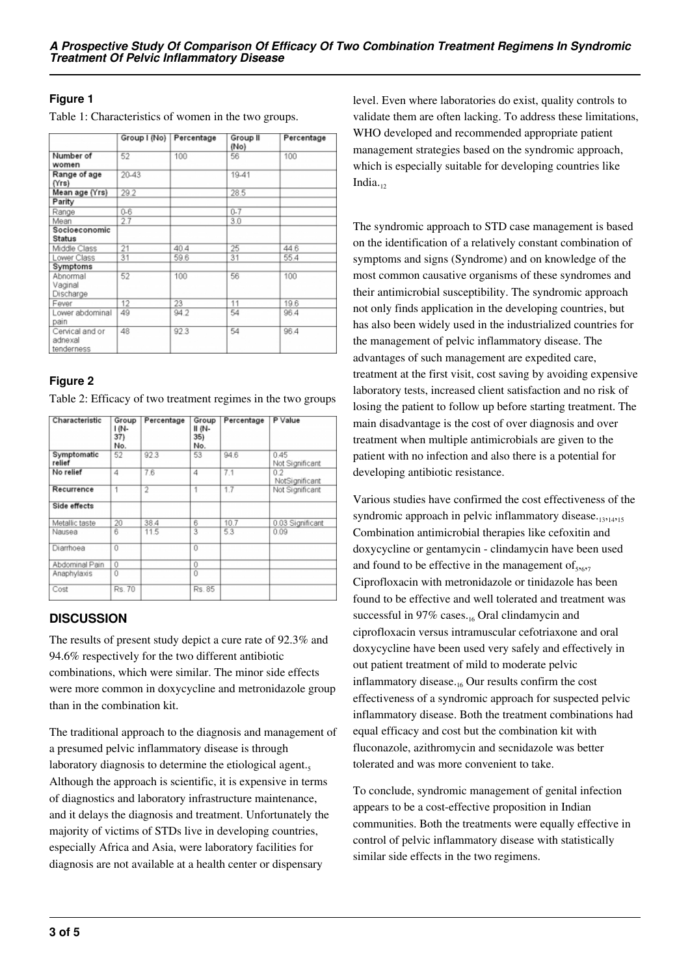# **Figure 1**

Table 1: Characteristics of women in the two groups.

|                                          | Group I (No) | Percentage | Group II<br>(No) | Percentage |
|------------------------------------------|--------------|------------|------------------|------------|
| Number of<br>women                       | 52           | 100        | 56               | 100        |
| Range of age<br>(Yrs)                    | 20-43        |            | 19-41            |            |
| Mean age (Yrs)                           | 29.2         |            | 28.5             |            |
| Parity                                   |              |            |                  |            |
| Range                                    | $0 - 6$      |            | $0 - 7$          |            |
| Mean                                     | 2.7          |            | 3.0              |            |
| Socioeconomic<br><b>Status</b>           |              |            |                  |            |
| Middle Class                             | 21           | 40.4       | 25               | 44.6       |
| Lower Class                              | 31           | 59.6       | 31               | 55.4       |
| Symptoms                                 |              |            |                  |            |
| Abnormal<br>Vaginal<br>Discharge         | 52           | 100        | 56               | 100        |
| Fever                                    | 12           | 23         | 11               | 19.6       |
| Lower abdominal<br>pain                  | 49           | 94.2       | 54               | 96.4       |
| Cervical and or<br>adnexal<br>tenderness | 48           | 92.3       | 54               | 96.4       |

## **Figure 2**

Table 2: Efficacy of two treatment regimes in the two groups

| Characteristic        | Group<br>1 (N-<br>37)<br>No. | Percentage     | Group<br>II (N-<br>35)<br>No. | Percentage | P Value                |
|-----------------------|------------------------------|----------------|-------------------------------|------------|------------------------|
| Symptomatic<br>relief | 52                           | 923            | 53                            | 94.6       | 045<br>Not Significant |
| No relief             | 4                            | 7.6            | 4                             | 7.1        | 02<br>NotSignificant   |
| Recurrence            | 1                            | $\overline{2}$ | 1                             | 1.7        | Not Significant        |
| Side effects          |                              |                |                               |            |                        |
| Metallic taste        | 20                           | 38.4           | 6                             | 10.7       | 0.03 Significant       |
| Nausea                | 6                            | 11.5           | 3                             | 53         | 0.09                   |
| Diarrhoea             | Û                            |                | 0                             |            |                        |
| Abdominal Pain        | 0                            |                | $\overline{0}$                |            |                        |
| Anaphylaxis           | 0                            |                | $\overline{0}$                |            |                        |
| Cost                  | Rs. 70                       |                | Rs. 85                        |            |                        |

# **DISCUSSION**

The results of present study depict a cure rate of 92.3% and 94.6% respectively for the two different antibiotic combinations, which were similar. The minor side effects were more common in doxycycline and metronidazole group than in the combination kit.

The traditional approach to the diagnosis and management of a presumed pelvic inflammatory disease is through laboratory diagnosis to determine the etiological agent.<sub>5</sub> Although the approach is scientific, it is expensive in terms of diagnostics and laboratory infrastructure maintenance, and it delays the diagnosis and treatment. Unfortunately the majority of victims of STDs live in developing countries, especially Africa and Asia, were laboratory facilities for diagnosis are not available at a health center or dispensary

level. Even where laboratories do exist, quality controls to validate them are often lacking. To address these limitations, WHO developed and recommended appropriate patient management strategies based on the syndromic approach, which is especially suitable for developing countries like India. $12$ 

The syndromic approach to STD case management is based on the identification of a relatively constant combination of symptoms and signs (Syndrome) and on knowledge of the most common causative organisms of these syndromes and their antimicrobial susceptibility. The syndromic approach not only finds application in the developing countries, but has also been widely used in the industrialized countries for the management of pelvic inflammatory disease. The advantages of such management are expedited care, treatment at the first visit, cost saving by avoiding expensive laboratory tests, increased client satisfaction and no risk of losing the patient to follow up before starting treatment. The main disadvantage is the cost of over diagnosis and over treatment when multiple antimicrobials are given to the patient with no infection and also there is a potential for developing antibiotic resistance.

Various studies have confirmed the cost effectiveness of the syndromic approach in pelvic inflammatory disease. Combination antimicrobial therapies like cefoxitin and doxycycline or gentamycin - clindamycin have been used and found to be effective in the management of  $_{5,6,7}$ Ciprofloxacin with metronidazole or tinidazole has been found to be effective and well tolerated and treatment was successful in 97% cases. $_{16}$  Oral clindamycin and ciprofloxacin versus intramuscular cefotriaxone and oral doxycycline have been used very safely and effectively in out patient treatment of mild to moderate pelvic inflammatory disease. $_{16}$  Our results confirm the cost effectiveness of a syndromic approach for suspected pelvic inflammatory disease. Both the treatment combinations had equal efficacy and cost but the combination kit with fluconazole, azithromycin and secnidazole was better tolerated and was more convenient to take.

To conclude, syndromic management of genital infection appears to be a cost-effective proposition in Indian communities. Both the treatments were equally effective in control of pelvic inflammatory disease with statistically similar side effects in the two regimens.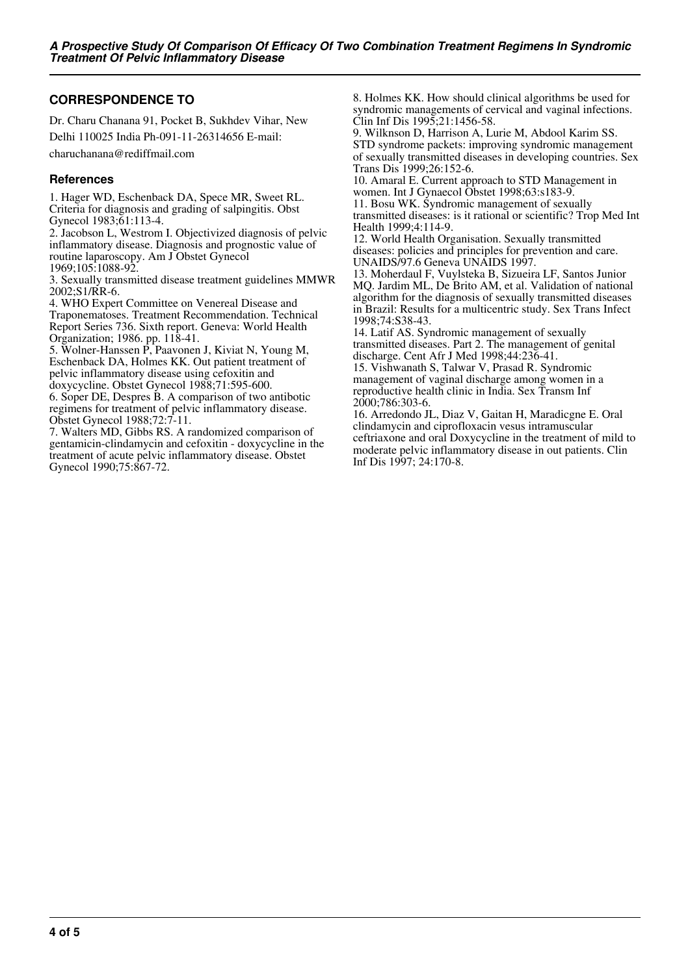# **CORRESPONDENCE TO**

Dr. Charu Chanana 91, Pocket B, Sukhdev Vihar, New Delhi 110025 India Ph-091-11-26314656 E-mail:

charuchanana@rediffmail.com

#### **References**

1. Hager WD, Eschenback DA, Spece MR, Sweet RL. Criteria for diagnosis and grading of salpingitis. Obst Gynecol 1983;61:113-4.

2. Jacobson L, Westrom I. Objectivized diagnosis of pelvic inflammatory disease. Diagnosis and prognostic value of routine laparoscopy. Am J Obstet Gynecol 1969;105:1088-92.

3. Sexually transmitted disease treatment guidelines MMWR 2002;S1/RR-6.

4. WHO Expert Committee on Venereal Disease and Traponematoses. Treatment Recommendation. Technical Report Series 736. Sixth report. Geneva: World Health Organization; 1986. pp. 118-41.

5. Wolner-Hanssen P, Paavonen J, Kiviat N, Young M, Eschenback DA, Holmes KK. Out patient treatment of pelvic inflammatory disease using cefoxitin and doxycycline. Obstet Gynecol 1988;71:595-600.

6. Soper DE, Despres B. A comparison of two antibotic regimens for treatment of pelvic inflammatory disease. Obstet Gynecol 1988;72:7-11.

7. Walters MD, Gibbs RS. A randomized comparison of gentamicin-clindamycin and cefoxitin - doxycycline in the treatment of acute pelvic inflammatory disease. Obstet Gynecol 1990;75:867-72.

8. Holmes KK. How should clinical algorithms be used for syndromic managements of cervical and vaginal infections. Clin Inf Dis 1995;21:1456-58.

9. Wilknson D, Harrison A, Lurie M, Abdool Karim SS. STD syndrome packets: improving syndromic management of sexually transmitted diseases in developing countries. Sex Trans Dis 1999;26:152-6.

10. Amaral E. Current approach to STD Management in women. Int J Gynaecol Obstet 1998;63:s183-9.

11. Bosu WK. Syndromic management of sexually transmitted diseases: is it rational or scientific? Trop Med Int Health 1999;4:114-9.

12. World Health Organisation. Sexually transmitted diseases: policies and principles for prevention and care. UNAIDS/97.6 Geneva UNAIDS 1997.

13. Moherdaul F, Vuylsteka B, Sizueira LF, Santos Junior MQ. Jardim ML, De Brito AM, et al. Validation of national algorithm for the diagnosis of sexually transmitted diseases in Brazil: Results for a multicentric study. Sex Trans Infect 1998;74:S38-43.

14. Latif AS. Syndromic management of sexually transmitted diseases. Part 2. The management of genital discharge. Cent Afr J Med 1998;44:236-41.

15. Vishwanath S, Talwar V, Prasad R. Syndromic management of vaginal discharge among women in a reproductive health clinic in India. Sex Transm Inf 2000;786:303-6.

16. Arredondo JL, Diaz V, Gaitan H, Maradicgne E. Oral clindamycin and ciprofloxacin vesus intramuscular ceftriaxone and oral Doxycycline in the treatment of mild to moderate pelvic inflammatory disease in out patients. Clin Inf Dis 1997; 24:170-8.